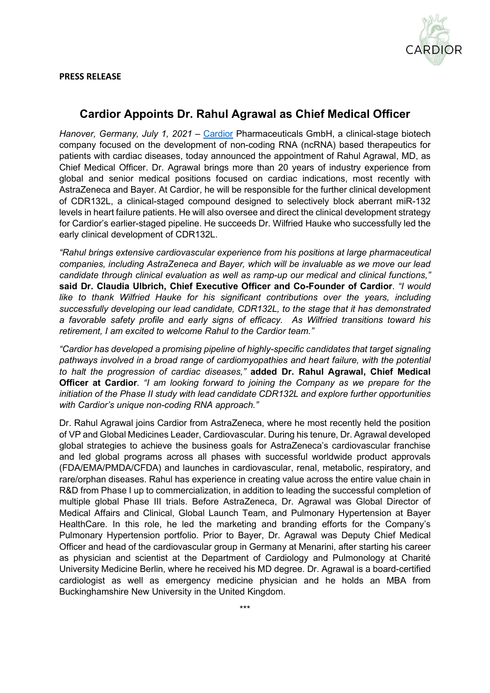

## **Cardior Appoints Dr. Rahul Agrawal as Chief Medical Officer**

*Hanover, Germany, July 1, 2021* – [Cardior](http://www.cardior.de/) Pharmaceuticals GmbH, a clinical-stage biotech company focused on the development of non-coding RNA (ncRNA) based therapeutics for patients with cardiac diseases, today announced the appointment of Rahul Agrawal, MD, as Chief Medical Officer. Dr. Agrawal brings more than 20 years of industry experience from global and senior medical positions focused on cardiac indications, most recently with AstraZeneca and Bayer. At Cardior, he will be responsible for the further clinical development of CDR132L, a clinical-staged compound designed to selectively block aberrant miR-132 levels in heart failure patients. He will also oversee and direct the clinical development strategy for Cardior's earlier-staged pipeline. He succeeds Dr. Wilfried Hauke who successfully led the early clinical development of CDR132L.

*"Rahul brings extensive cardiovascular experience from his positions at large pharmaceutical companies, including AstraZeneca and Bayer, which will be invaluable as we move our lead candidate through clinical evaluation as well as ramp-up our medical and clinical functions,"* **said Dr. Claudia Ulbrich, Chief Executive Officer and Co-Founder of Cardior**. *"I would like to thank Wilfried Hauke for his significant contributions over the years, including successfully developing our lead candidate, CDR132L, to the stage that it has demonstrated a favorable safety profile and early signs of efficacy. As Wilfried transitions toward his retirement, I am excited to welcome Rahul to the Cardior team."*

*"Cardior has developed a promising pipeline of highly-specific candidates that target signaling pathways involved in a broad range of cardiomyopathies and heart failure, with the potential to halt the progression of cardiac diseases,"* **added Dr. Rahul Agrawal, Chief Medical Officer at Cardior***. "I am looking forward to joining the Company as we prepare for the initiation of the Phase II study with lead candidate CDR132L and explore further opportunities with Cardior's unique non-coding RNA approach."*

Dr. Rahul Agrawal joins Cardior from AstraZeneca, where he most recently held the position of VP and Global Medicines Leader, Cardiovascular. During his tenure, Dr. Agrawal developed global strategies to achieve the business goals for AstraZeneca's cardiovascular franchise and led global programs across all phases with successful worldwide product approvals (FDA/EMA/PMDA/CFDA) and launches in cardiovascular, renal, metabolic, respiratory, and rare/orphan diseases. Rahul has experience in creating value across the entire value chain in R&D from Phase I up to commercialization, in addition to leading the successful completion of multiple global Phase III trials. Before AstraZeneca, Dr. Agrawal was Global Director of Medical Affairs and Clinical, Global Launch Team, and Pulmonary Hypertension at Bayer HealthCare. In this role, he led the marketing and branding efforts for the Company's Pulmonary Hypertension portfolio. Prior to Bayer, Dr. Agrawal was Deputy Chief Medical Officer and head of the cardiovascular group in Germany at Menarini, after starting his career as physician and scientist at the Department of Cardiology and Pulmonology at Charité University Medicine Berlin, where he received his MD degree. Dr. Agrawal is a board-certified cardiologist as well as emergency medicine physician and he holds an MBA from Buckinghamshire New University in the United Kingdom.